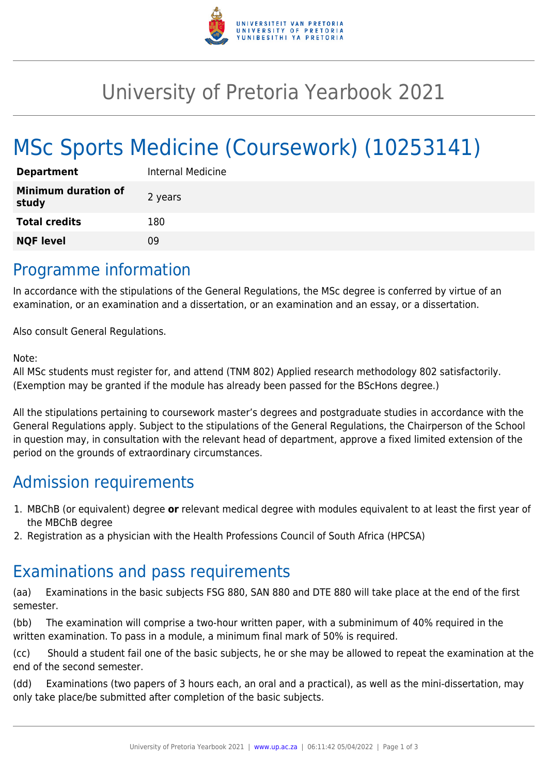

## University of Pretoria Yearbook 2021

# MSc Sports Medicine (Coursework) (10253141)

| <b>Department</b>                   | Internal Medicine |
|-------------------------------------|-------------------|
| <b>Minimum duration of</b><br>study | 2 years           |
| <b>Total credits</b>                | 180               |
| <b>NQF level</b>                    | ng                |

#### Programme information

In accordance with the stipulations of the General Regulations, the MSc degree is conferred by virtue of an examination, or an examination and a dissertation, or an examination and an essay, or a dissertation.

Also consult General Regulations.

#### Note:

All MSc students must register for, and attend (TNM 802) Applied research methodology 802 satisfactorily. (Exemption may be granted if the module has already been passed for the BScHons degree.)

All the stipulations pertaining to coursework master's degrees and postgraduate studies in accordance with the General Regulations apply. Subject to the stipulations of the General Regulations, the Chairperson of the School in question may, in consultation with the relevant head of department, approve a fixed limited extension of the period on the grounds of extraordinary circumstances.

## Admission requirements

- 1. MBChB (or equivalent) degree **or** relevant medical degree with modules equivalent to at least the first year of the MBChB degree
- 2. Registration as a physician with the Health Professions Council of South Africa (HPCSA)

#### Examinations and pass requirements

(aa) Examinations in the basic subjects FSG 880, SAN 880 and DTE 880 will take place at the end of the first semester.

(bb) The examination will comprise a two-hour written paper, with a subminimum of 40% required in the written examination. To pass in a module, a minimum final mark of 50% is required.

(cc) Should a student fail one of the basic subjects, he or she may be allowed to repeat the examination at the end of the second semester.

(dd) Examinations (two papers of 3 hours each, an oral and a practical), as well as the mini-dissertation, may only take place/be submitted after completion of the basic subjects.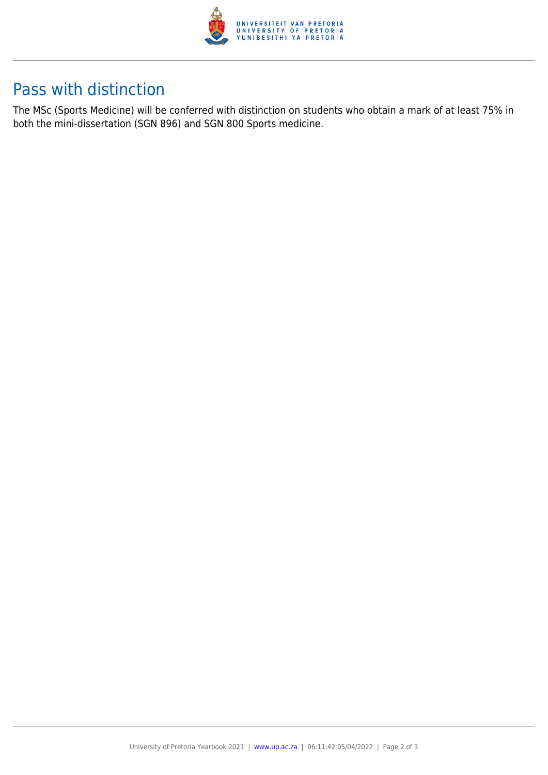

## Pass with distinction

The MSc (Sports Medicine) will be conferred with distinction on students who obtain a mark of at least 75% in both the mini-dissertation (SGN 896) and SGN 800 Sports medicine.